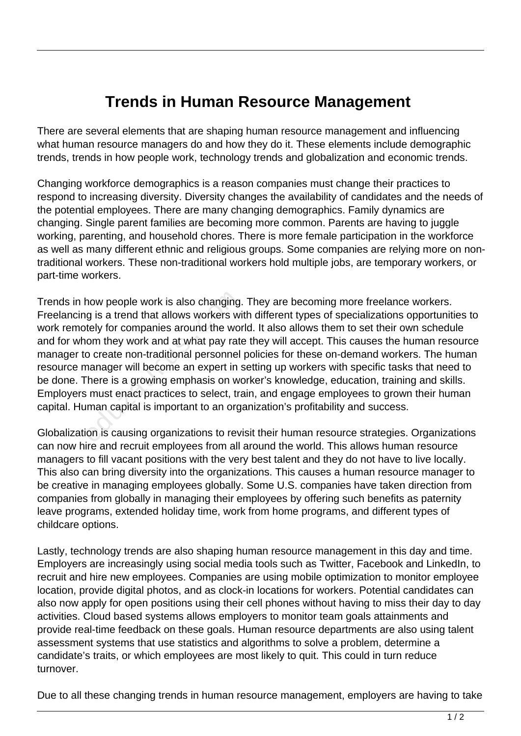## **Trends in Human Resource Management**

There are several elements that are shaping human resource management and influencing what human resource managers do and how they do it. These elements include demographic trends, trends in how people work, technology trends and globalization and economic trends.

Changing workforce demographics is a reason companies must change their practices to respond to increasing diversity. Diversity changes the availability of candidates and the needs of the potential employees. There are many changing demographics. Family dynamics are changing. Single parent families are becoming more common. Parents are having to juggle working, parenting, and household chores. There is more female participation in the workforce as well as many different ethnic and religious groups. Some companies are relying more on nontraditional workers. These non-traditional workers hold multiple jobs, are temporary workers, or part-time workers.

Trends in how people work is also changing. They are becoming more freelance workers. Freelancing is a trend that allows workers with different types of specializations opportunities to work remotely for companies around the world. It also allows them to set their own schedule and for whom they work and at what pay rate they will accept. This causes the human resource manager to create non-traditional personnel policies for these on-demand workers. The human resource manager will become an expert in setting up workers with specific tasks that need to be done. There is a growing emphasis on worker's knowledge, education, training and skills. Employers must enact practices to select, train, and engage employees to grown their human capital. Human capital is important to an organization's profitability and success. now people work is also changing<br>g is a trend that allows workers wi<br>tely for companies around the wo<br>om they work and at what pay rat<br>o create non-traditional personnel<br>nanager will become an expert in s<br>here is a growing

Globalization is causing organizations to revisit their human resource strategies. Organizations can now hire and recruit employees from all around the world. This allows human resource managers to fill vacant positions with the very best talent and they do not have to live locally. This also can bring diversity into the organizations. This causes a human resource manager to be creative in managing employees globally. Some U.S. companies have taken direction from companies from globally in managing their employees by offering such benefits as paternity leave programs, extended holiday time, work from home programs, and different types of childcare options.

Lastly, technology trends are also shaping human resource management in this day and time. Employers are increasingly using social media tools such as Twitter, Facebook and LinkedIn, to recruit and hire new employees. Companies are using mobile optimization to monitor employee location, provide digital photos, and as clock-in locations for workers. Potential candidates can also now apply for open positions using their cell phones without having to miss their day to day activities. Cloud based systems allows employers to monitor team goals attainments and provide real-time feedback on these goals. Human resource departments are also using talent assessment systems that use statistics and algorithms to solve a problem, determine a candidate's traits, or which employees are most likely to quit. This could in turn reduce turnover.

Due to all these changing trends in human resource management, employers are having to take